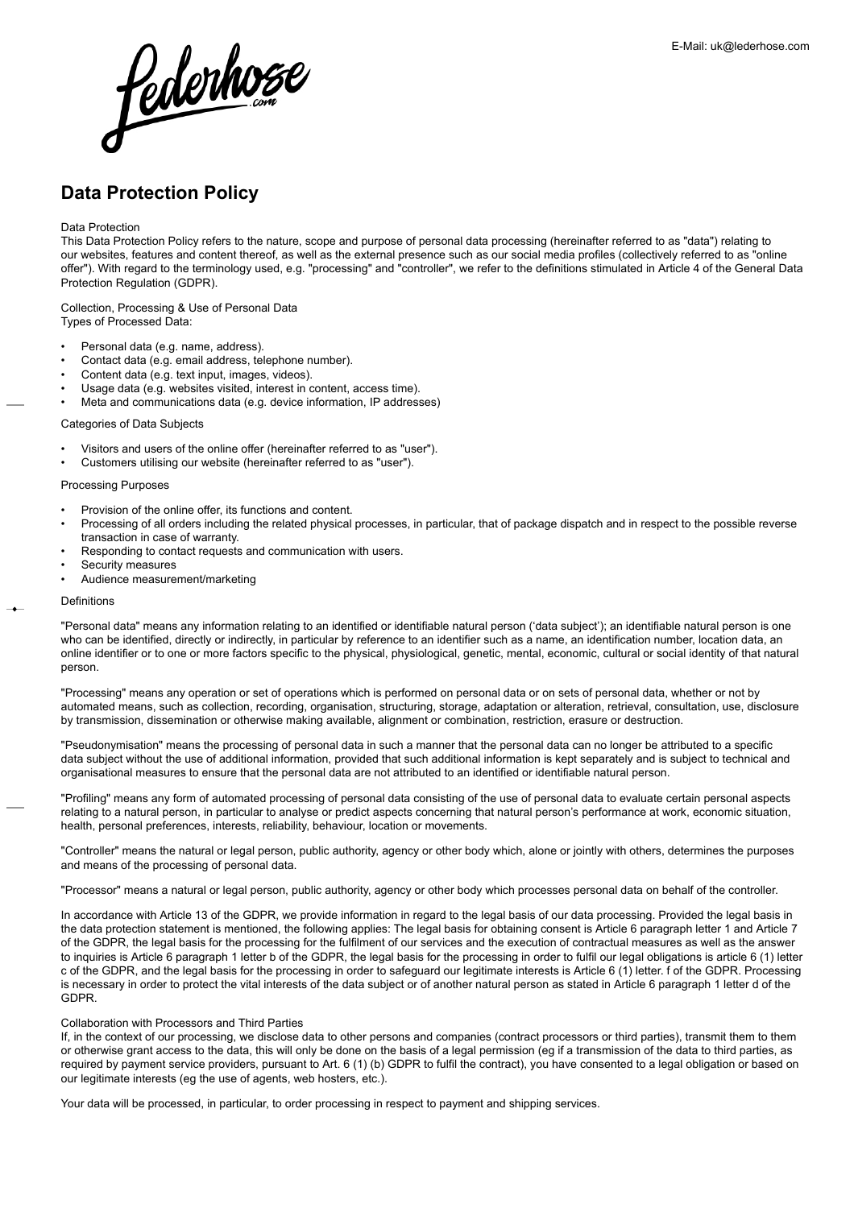<span id="page-0-0"></span>

# **Data Protection Policy**

# Data Protection

This Data Protection Policy refers to the nature, scope and purpose of personal data processing (hereinafter referred to as "data") relating to our websites, features and content thereof, as well as the external presence such as our social media profiles (collectively referred to as "online offer"). With regard to the terminology used, e.g. "processing" and "controller", we refer to the definitions stimulated in Article 4 of the General Data Protection Regulation (GDPR).

Collection, Processing & Use of Personal Data Types of Processed Data:

- Personal data (e.g. name, address).
- Contact data (e.g. email address, telephone number).
- Content data (e.g. text input, images, videos).
- Usage data (e.g. websites visited, interest in content, access time).
- Meta and communications data (e.g. device information, IP addresses)

# Categories of Data Subjects

- Visitors and users of the online offer (hereinafter referred to as "user").
- Customers utilising our website (hereinafter referred to as "user").

# Processing Purposes

- Provision of the online offer, its functions and content.
- Processing of all orders including the related physical processes, in particular, that of package dispatch and in respect to the possible reverse transaction in case of warranty.
- Responding to contact requests and communication with users.
- Security measures
- Audience measurement/marketing

#### Definitions

"Personal data" means any information relating to an identified or identifiable natural person ('data subject'); an identifiable natural person is one who can be identified, directly or indirectly, in particular by reference to an identifier such as a name, an identification number, location data, an online identifier or to one or more factors specific to the physical, physiological, genetic, mental, economic, cultural or social identity of that natural person.

"Processing" means any operation or set of operations which is performed on personal data or on sets of personal data, whether or not by automated means, such as collection, recording, organisation, structuring, storage, adaptation or alteration, retrieval, consultation, use, disclosure by transmission, dissemination or otherwise making available, alignment or combination, restriction, erasure or destruction.

"Pseudonymisation" means the processing of personal data in such a manner that the personal data can no longer be attributed to a specific data subject without the use of additional information, provided that such additional information is kept separately and is subject to technical and organisational measures to ensure that the personal data are not attributed to an identified or identifiable natural person.

"Profiling" means any form of automated processing of personal data consisting of the use of personal data to evaluate certain personal aspects relating to a natural person, in particular to analyse or predict aspects concerning that natural person's performance at work, economic situation, health, personal preferences, interests, reliability, behaviour, location or movements.

"Controller" means the natural or legal person, public authority, agency or other body which, alone or jointly with others, determines the purposes and means of the processing of personal data.

"Processor" means a natural or legal person, public authority, agency or other body which processes personal data on behalf of the controller.

In accordance with Article 13 of the GDPR, we provide information in regard to the legal basis of our data processing. Provided the legal basis in the data protection statement is mentioned, the following applies: The legal basis for obtaining consent is Article 6 paragraph letter 1 and Article 7 of the GDPR, the legal basis for the processing for the fulfilment of our services and the execution of contractual measures as well as the answer to inquiries is Article 6 paragraph 1 letter b of the GDPR, the legal basis for the processing in order to fulfil our legal obligations is article 6 (1) letter c of the GDPR, and the legal basis for the processing in order to safeguard our legitimate interests is Article 6 (1) letter. f of the GDPR. Processing is necessary in order to protect the vital interests of the data subject or of another natural person as stated in Article 6 paragraph 1 letter d of the GDPR.

#### Collaboration with Processors and Third Parties

If, in the context of our processing, we disclose data to other persons and companies (contract processors or third parties), transmit them to them or otherwise grant access to the data, this will only be done on the basis of a legal permission (eg if a transmission of the data to third parties, as required by payment service providers, pursuant to Art. 6 (1) (b) GDPR to fulfil the contract), you have consented to a legal obligation or based on our legitimate interests (eg the use of agents, web hosters, etc.).

Your data will be processed, in particular, to order processing in respect to payment and shipping services.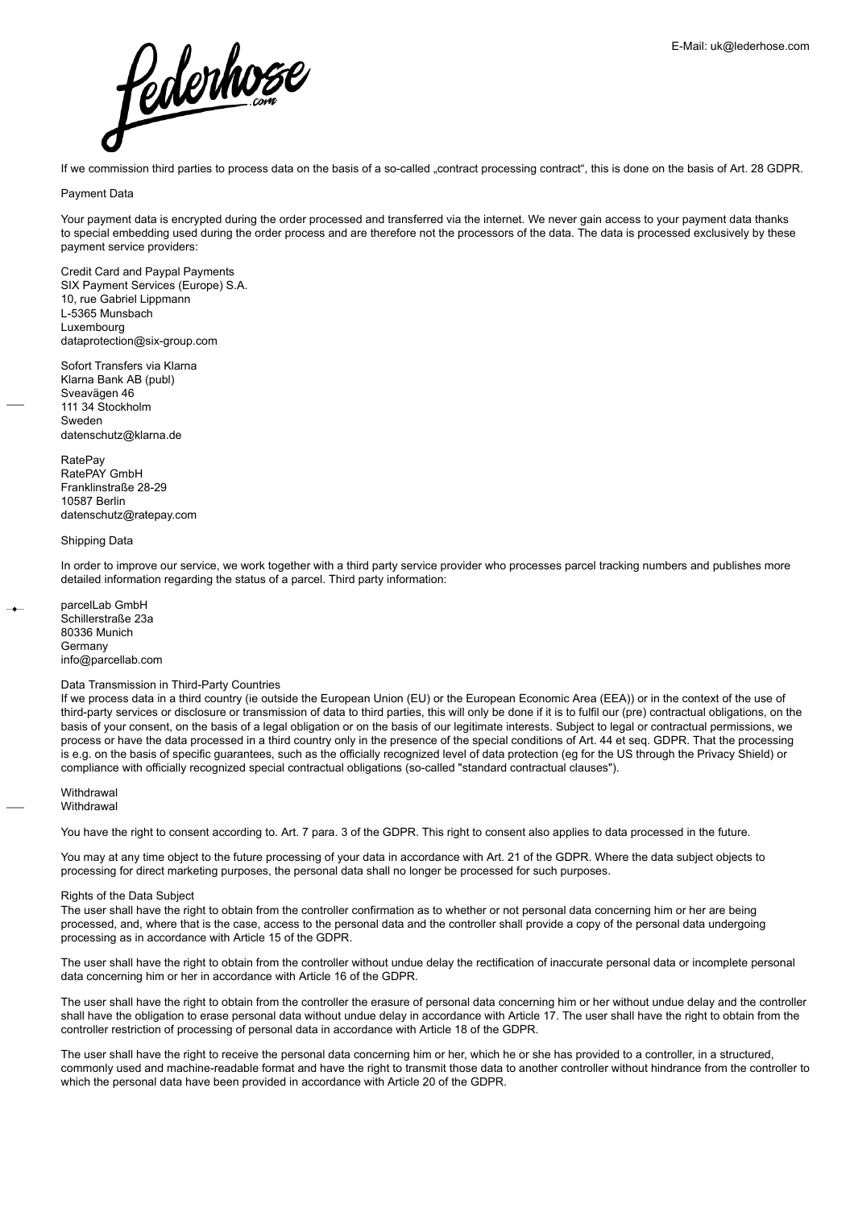

If we commission third parties to process data on the basis of a so-called "contract processing contract", this is done on the basis of Art. 28 GDPR.

# Payment Data

Your payment data is encrypted during the order processed and transferred via the internet. We never gain access to your payment data thanks to special embedding used during the order process and are therefore not the processors of the data. The data is processed exclusively by these payment service providers:

Credit Card and Paypal Payments SIX Payment Services (Europe) S.A. 10, rue Gabriel Lippmann L-5365 Munsbach Luxembourg dataprotection@six-group.com

Sofort Transfers via Klarna Klarna Bank AB (publ) Sveavägen 46 111 34 Stockholm Sweden datenschutz@klarna.de

**RatePay** RatePAY GmbH Franklinstraße 28-29 10587 Berlin datenschutz@ratepay.com

## Shipping Data

In order to improve our service, we work together with a third party service provider who processes parcel tracking numbers and publishes more detailed information regarding the status of a parcel. Third party information:

parcelLab GmbH Schillerstraße 23a 80336 Munich **Germany** info@parcellab.com

# Data Transmission in Third-Party Countries

If we process data in a third country (ie outside the European Union (EU) or the European Economic Area (EEA)) or in the context of the use of third-party services or disclosure or transmission of data to third parties, this will only be done if it is to fulfil our (pre) contractual obligations, on the basis of your consent, on the basis of a legal obligation or on the basis of our legitimate interests. Subject to legal or contractual permissions, we process or have the data processed in a third country only in the presence of the special conditions of Art. 44 et seq. GDPR. That the processing is e.g. on the basis of specific guarantees, such as the officially recognized level of data protection (eg for the US through the Privacy Shield) or compliance with officially recognized special contractual obligations (so-called "standard contractual clauses").

**Withdrawal Withdrawal** 

You have the right to consent according to. Art. 7 para. 3 of the GDPR. This right to consent also applies to data processed in the future.

You may at any time object to the future processing of your data in accordance with Art. 21 of the GDPR. Where the data subject objects to processing for direct marketing purposes, the personal data shall no longer be processed for such purposes.

#### Rights of the Data Subject

The user shall have the right to obtain from the controller confirmation as to whether or not personal data concerning him or her are being processed, and, where that is the case, access to the personal data and the controller shall provide a copy of the personal data undergoing processing as in accordance with Article 15 of the GDPR.

The user shall have the right to obtain from the controller without undue delay the rectification of inaccurate personal data or incomplete personal data concerning him or her in accordance with Article 16 of the GDPR.

The user shall have the right to obtain from the controller the erasure of personal data concerning him or her without undue delay and the controller shall have the obligation to erase personal data without undue delay in accordance with Article 17. The user shall have the right to obtain from the controller restriction of processing of personal data in accordance with Article 18 of the GDPR.

The user shall have the right to receive the personal data concerning him or her, which he or she has provided to a controller, in a structured, commonly used and machine-readable format and have the right to transmit those data to another controller without hindrance from the controller to which the personal data have been provided in accordance with Article 20 of the GDPR.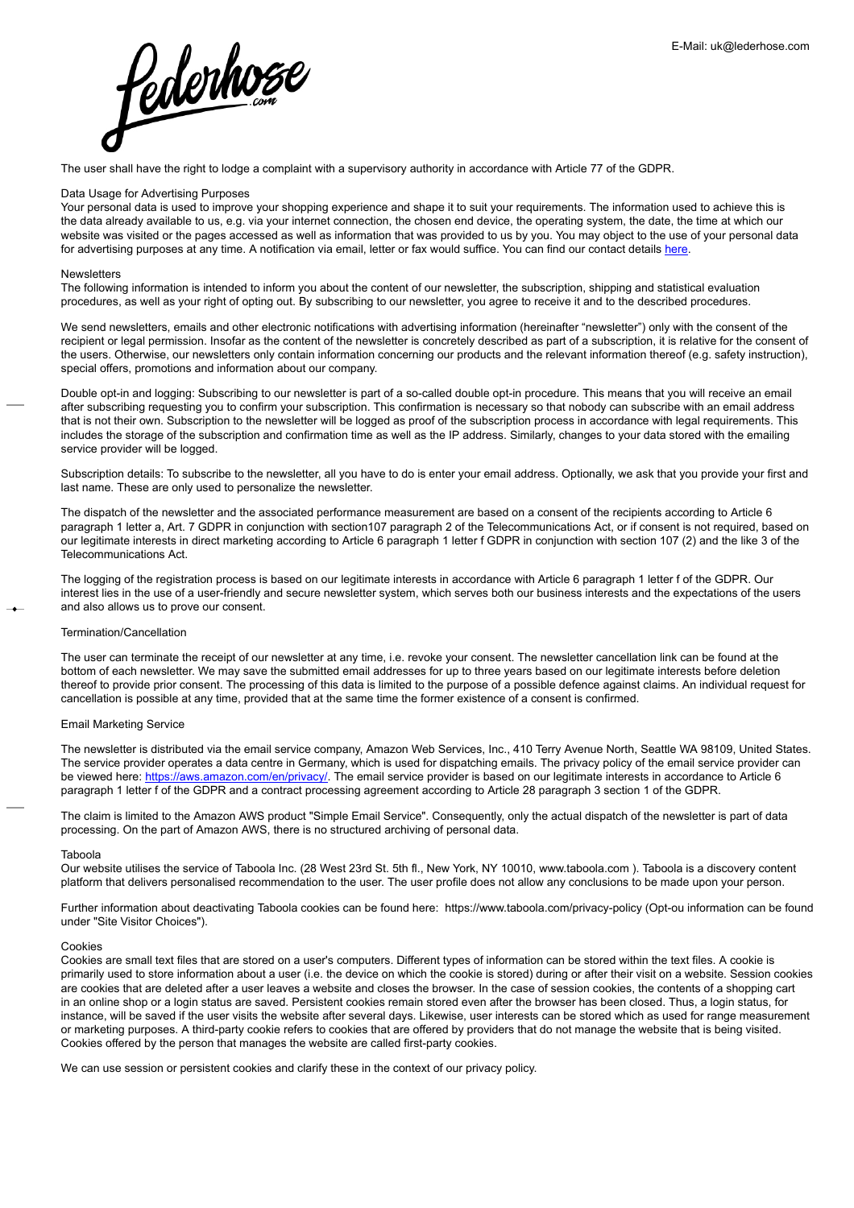

The user shall have the right to lodge a complaint with a supervisory authority in accordance with Article 77 of the GDPR.

# Data Usage for Advertising Purposes

Your personal data is used to improve your shopping experience and shape it to suit your requirements. The information used to achieve this is the data already available to us, e.g. via your internet connection, the chosen end device, the operating system, the date, the time at which our website was visited or the pages accessed as well as information that was provided to us by you. You may object to the use of your personal data for advertising purposes at any time. A notification via email, letter or fax would suffice. You can find our contact details [here](http://https://www.lederhose.com/de-AT/info/kontakt).

# Newsletters

The following information is intended to inform you about the content of our newsletter, the subscription, shipping and statistical evaluation procedures, as well as your right of opting out. By subscribing to our newsletter, you agree to receive it and to the described procedures.

We send newsletters, emails and other electronic notifications with advertising information (hereinafter "newsletter") only with the consent of the recipient or legal permission. Insofar as the content of the newsletter is concretely described as part of a subscription, it is relative for the consent of the users. Otherwise, our newsletters only contain information concerning our products and the relevant information thereof (e.g. safety instruction), special offers, promotions and information about our company.

Double opt-in and logging: Subscribing to our newsletter is part of a so-called double opt-in procedure. This means that you will receive an email after subscribing requesting you to confirm your subscription. This confirmation is necessary so that nobody can subscribe with an email address that is not their own. Subscription to the newsletter will be logged as proof of the subscription process in accordance with legal requirements. This includes the storage of the subscription and confirmation time as well as the IP address. Similarly, changes to your data stored with the emailing service provider will be logged.

Subscription details: To subscribe to the newsletter, all you have to do is enter your email address. Optionally, we ask that you provide your first and last name. These are only used to personalize the newsletter.

The dispatch of the newsletter and the associated performance measurement are based on a consent of the recipients according to Article 6 paragraph 1 letter a, Art. 7 GDPR in conjunction with section107 paragraph 2 of the Telecommunications Act, or if consent is not required, based on our legitimate interests in direct marketing according to Article 6 paragraph 1 letter f GDPR in conjunction with section 107 (2) and the like 3 of the Telecommunications Act.

The logging of the registration process is based on our legitimate interests in accordance with Article 6 paragraph 1 letter f of the GDPR. Our interest lies in the use of a user-friendly and secure newsletter system, which serves both our business interests and the expectations of the users and also allows us to prove our consent.

#### Termination/Cancellation

The user can terminate the receipt of our newsletter at any time, i.e. revoke your consent. The newsletter cancellation link can be found at the bottom of each newsletter. We may save the submitted email addresses for up to three years based on our legitimate interests before deletion thereof to provide prior consent. The processing of this data is limited to the purpose of a possible defence against claims. An individual request for cancellation is possible at any time, provided that at the same time the former existence of a consent is confirmed.

#### Email Marketing Service

The newsletter is distributed via the email service company, Amazon Web Services, Inc., 410 Terry Avenue North, Seattle WA 98109, United States. The service provider operates a data centre in Germany, which is used for dispatching emails. The privacy policy of the email service provider can be viewed here: [https://aws.amazon.com/en/privacy/](https://aws.amazon.com/privacy/?nc1=h_ls). The email service provider is based on our legitimate interests in accordance to Article 6 paragraph 1 letter f of the GDPR and a contract processing agreement according to Article 28 paragraph 3 section 1 of the GDPR.

The claim is limited to the Amazon AWS product "Simple Email Service". Consequently, only the actual dispatch of the newsletter is part of data processing. On the part of Amazon AWS, there is no structured archiving of personal data.

#### Taboola

Our website utilises the service of Taboola Inc. (28 West 23rd St. 5th fl., New York, NY 10010, www.taboola.com ). Taboola is a discovery content platform that delivers personalised recommendation to the user. The user profile does not allow any conclusions to be made upon your person.

Further information about deactivating Taboola cookies can be found here: https://www.taboola.com/privacy-policy (Opt-ou information can be found under "Site Visitor Choices").

# Cookies

Cookies are small text files that are stored on a user's computers. Different types of information can be stored within the text files. A cookie is primarily used to store information about a user (i.e. the device on which the cookie is stored) during or after their visit on a website. Session cookies are cookies that are deleted after a user leaves a website and closes the browser. In the case of session cookies, the contents of a shopping cart in an online shop or a login status are saved. Persistent cookies remain stored even after the browser has been closed. Thus, a login status, for instance, will be saved if the user visits the website after several days. Likewise, user interests can be stored which as used for range measurement or marketing purposes. A third-party cookie refers to cookies that are offered by providers that do not manage the website that is being visited. Cookies offered by the person that manages the website are called first-party cookies.

We can use session or persistent cookies and clarify these in the context of our privacy policy.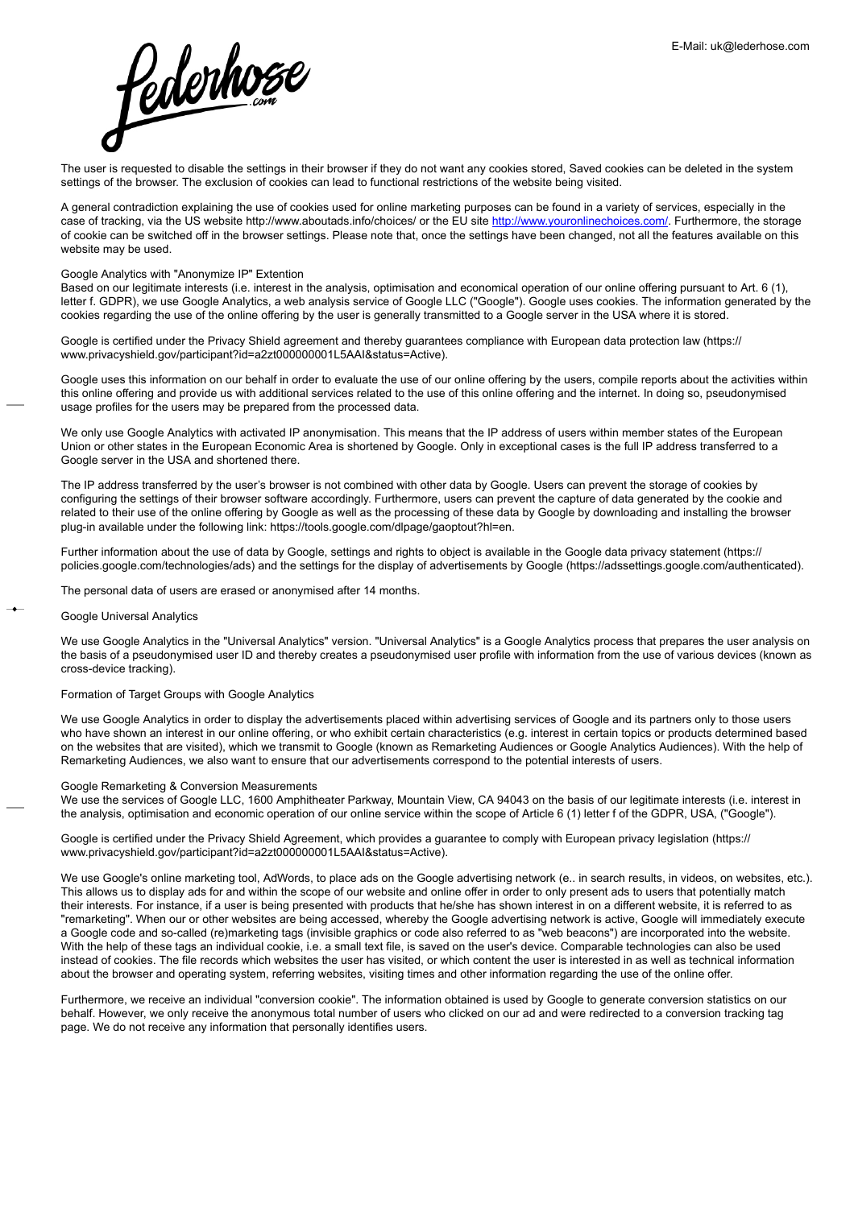

The user is requested to disable the settings in their browser if they do not want any cookies stored, Saved cookies can be deleted in the system settings of the browser. The exclusion of cookies can lead to functional restrictions of the website being visited.

A general contradiction explaining the use of cookies used for online marketing purposes can be found in a variety of services, especially in the case of tracking, via the US website http://www.aboutads.info/choices/ or the EU site [http://www.youronlinechoices.com/](https://www.youronlinechoices.com/). Furthermore, the storage of cookie can be switched off in the browser settings. Please note that, once the settings have been changed, not all the features available on this website may be used.

# Google Analytics with "Anonymize IP" Extention

Based on our legitimate interests (i.e. interest in the analysis, optimisation and economical operation of our online offering pursuant to Art. 6 (1), letter f. GDPR), we use Google Analytics, a web analysis service of Google LLC ("Google"). Google uses cookies. The information generated by the cookies regarding the use of the online offering by the user is generally transmitted to a Google server in the USA where it is stored.

Google is certified under the Privacy Shield agreement and thereby guarantees compliance with European data protection law (https:// www.privacyshield.gov/participant?id=a2zt000000001L5AAI&status=Active).

Google uses this information on our behalf in order to evaluate the use of our online offering by the users, compile reports about the activities within this online offering and provide us with additional services related to the use of this online offering and the internet. In doing so, pseudonymised usage profiles for the users may be prepared from the processed data.

We only use Google Analytics with activated IP anonymisation. This means that the IP address of users within member states of the European Union or other states in the European Economic Area is shortened by Google. Only in exceptional cases is the full IP address transferred to a Google server in the USA and shortened there.

The IP address transferred by the user's browser is not combined with other data by Google. Users can prevent the storage of cookies by configuring the settings of their browser software accordingly. Furthermore, users can prevent the capture of data generated by the cookie and related to their use of the online offering by Google as well as the processing of these data by Google by downloading and installing the browser plug-in available under the following link: https://tools.google.com/dlpage/gaoptout?hl=en.

Further information about the use of data by Google, settings and rights to object is available in the Google data privacy statement (https:// policies.google.com/technologies/ads) and the settings for the display of advertisements by Google (https://adssettings.google.com/authenticated).

The personal data of users are erased or anonymised after 14 months.

# Google Universal Analytics

We use Google Analytics in the "Universal Analytics" version. "Universal Analytics" is a Google Analytics process that prepares the user analysis on the basis of a pseudonymised user ID and thereby creates a pseudonymised user profile with information from the use of various devices (known as cross-device tracking).

# Formation of Target Groups with Google Analytics

We use Google Analytics in order to display the advertisements placed within advertising services of Google and its partners only to those users who have shown an interest in our online offering, or who exhibit certain characteristics (e.g. interest in certain topics or products determined based on the websites that are visited), which we transmit to Google (known as Remarketing Audiences or Google Analytics Audiences). With the help of Remarketing Audiences, we also want to ensure that our advertisements correspond to the potential interests of users.

# Google Remarketing & Conversion Measurements

We use the services of Google LLC, 1600 Amphitheater Parkway, Mountain View, CA 94043 on the basis of our legitimate interests (i.e. interest in the analysis, optimisation and economic operation of our online service within the scope of Article 6 (1) letter f of the GDPR, USA, ("Google").

Google is certified under the Privacy Shield Agreement, which provides a guarantee to comply with European privacy legislation (https:// www.privacyshield.gov/participant?id=a2zt000000001L5AAI&status=Active).

We use Google's online marketing tool, AdWords, to place ads on the Google advertising network (e.. in search results, in videos, on websites, etc.). This allows us to display ads for and within the scope of our website and online offer in order to only present ads to users that potentially match their interests. For instance, if a user is being presented with products that he/she has shown interest in on a different website, it is referred to as "remarketing". When our or other websites are being accessed, whereby the Google advertising network is active, Google will immediately execute a Google code and so-called (re)marketing tags (invisible graphics or code also referred to as "web beacons") are incorporated into the website. With the help of these tags an individual cookie, i.e. a small text file, is saved on the user's device. Comparable technologies can also be used instead of cookies. The file records which websites the user has visited, or which content the user is interested in as well as technical information about the browser and operating system, referring websites, visiting times and other information regarding the use of the online offer.

Furthermore, we receive an individual "conversion cookie". The information obtained is used by Google to generate conversion statistics on our behalf. However, we only receive the anonymous total number of users who clicked on our ad and were redirected to a conversion tracking tag page. We do not receive any information that personally identifies users.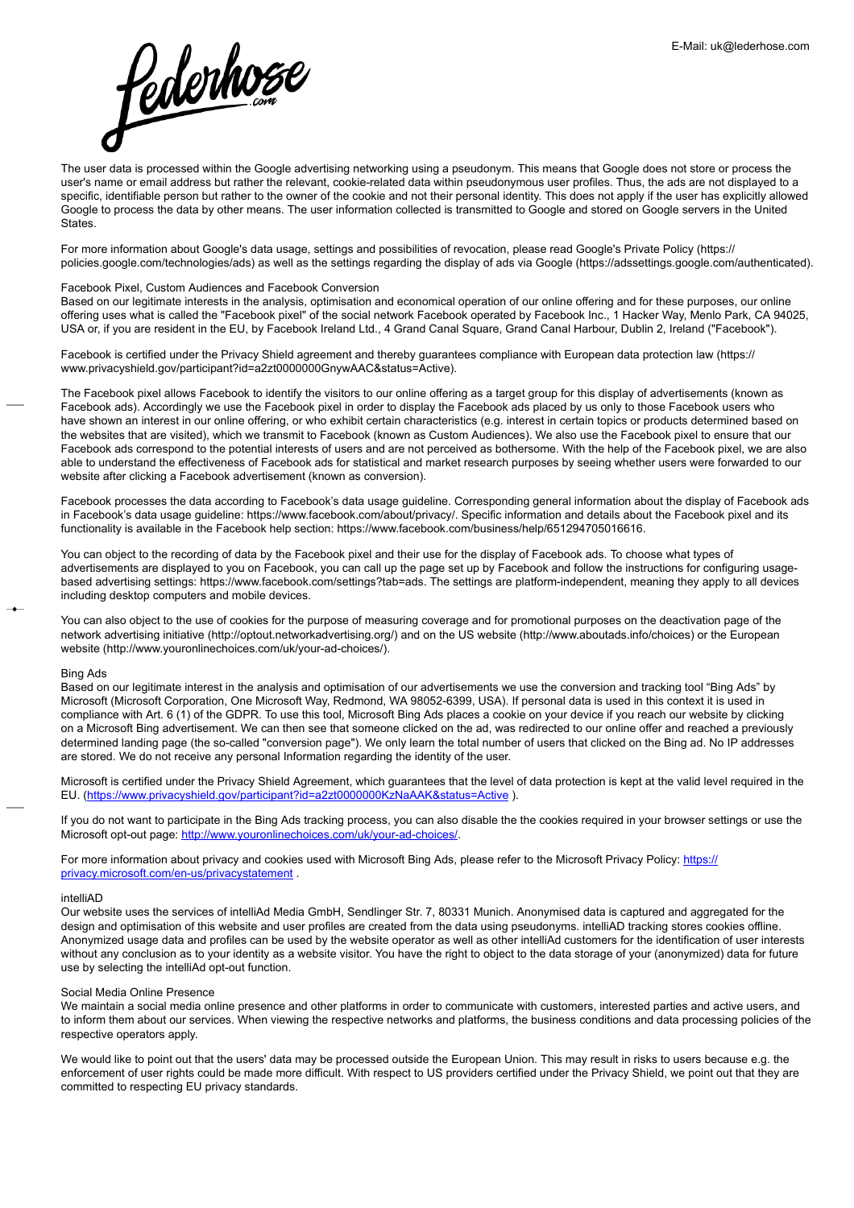

The user data is processed within the Google advertising networking using a pseudonym. This means that Google does not store or process the user's name or email address but rather the relevant, cookie-related data within pseudonymous user profiles. Thus, the ads are not displayed to a specific, identifiable person but rather to the owner of the cookie and not their personal identity. This does not apply if the user has explicitly allowed Google to process the data by other means. The user information collected is transmitted to Google and stored on Google servers in the United **States** 

For more information about Google's data usage, settings and possibilities of revocation, please read Google's Private Policy (https:// policies.google.com/technologies/ads) as well as the settings regarding the display of ads via Google (https://adssettings.google.com/authenticated).

# Facebook Pixel, Custom Audiences and Facebook Conversion

Based on our legitimate interests in the analysis, optimisation and economical operation of our online offering and for these purposes, our online offering uses what is called the "Facebook pixel" of the social network Facebook operated by Facebook Inc., 1 Hacker Way, Menlo Park, CA 94025, USA or, if you are resident in the EU, by Facebook Ireland Ltd., 4 Grand Canal Square, Grand Canal Harbour, Dublin 2, Ireland ("Facebook").

Facebook is certified under the Privacy Shield agreement and thereby guarantees compliance with European data protection law (https:// www.privacyshield.gov/participant?id=a2zt0000000GnywAAC&status=Active).

The Facebook pixel allows Facebook to identify the visitors to our online offering as a target group for this display of advertisements (known as Facebook ads). Accordingly we use the Facebook pixel in order to display the Facebook ads placed by us only to those Facebook users who have shown an interest in our online offering, or who exhibit certain characteristics (e.g. interest in certain topics or products determined based on the websites that are visited), which we transmit to Facebook (known as Custom Audiences). We also use the Facebook pixel to ensure that our Facebook ads correspond to the potential interests of users and are not perceived as bothersome. With the help of the Facebook pixel, we are also able to understand the effectiveness of Facebook ads for statistical and market research purposes by seeing whether users were forwarded to our website after clicking a Facebook advertisement (known as conversion).

Facebook processes the data according to Facebook's data usage guideline. Corresponding general information about the display of Facebook ads in Facebook's data usage guideline: https://www.facebook.com/about/privacy/. Specific information and details about the Facebook pixel and its functionality is available in the Facebook help section: https://www.facebook.com/business/help/651294705016616.

You can object to the recording of data by the Facebook pixel and their use for the display of Facebook ads. To choose what types of advertisements are displayed to you on Facebook, you can call up the page set up by Facebook and follow the instructions for configuring usagebased advertising settings: https://www.facebook.com/settings?tab=ads. The settings are platform-independent, meaning they apply to all devices including desktop computers and mobile devices.

You can also object to the use of cookies for the purpose of measuring coverage and for promotional purposes on the deactivation page of the network advertising initiative (http://optout.networkadvertising.org/) and on the US website (http://www.aboutads.info/choices) or the European website (http://www.youronlinechoices.com/uk/your-ad-choices/).

#### Bing Ads

Based on our legitimate interest in the analysis and optimisation of our advertisements we use the conversion and tracking tool "Bing Ads" by Microsoft (Microsoft Corporation, One Microsoft Way, Redmond, WA 98052-6399, USA). If personal data is used in this context it is used in compliance with Art. 6 (1) of the GDPR. To use this tool, Microsoft Bing Ads places a cookie on your device if you reach our website by clicking on a Microsoft Bing advertisement. We can then see that someone clicked on the ad, was redirected to our online offer and reached a previously determined landing page (the so-called "conversion page"). We only learn the total number of users that clicked on the Bing ad. No IP addresses are stored. We do not receive any personal Information regarding the identity of the user.

Microsoft is certified under the Privacy Shield Agreement, which guarantees that the level of data protection is kept at the valid level required in the EU. (<https://www.privacyshield.gov/participant?id=a2zt0000000KzNaAAK&status=Active> ).

If you do not want to participate in the Bing Ads tracking process, you can also disable the the cookies required in your browser settings or use the Microsoft opt-out page: [http://www.youronlinechoices.com/uk/your-ad-choices/.](http://www.youronlinechoices.com/uk/your-ad-choices/)

For more information about privacy and cookies used with Microsoft Bing Ads, please refer to the Microsoft Privacy Policy: [https://](https://privacy.microsoft.com/de-de/privacystatement) [privacy.microsoft.com/en-us/privacystatement](https://privacy.microsoft.com/de-de/privacystatement) .

#### intelliAD

Our website uses the services of intelliAd Media GmbH, Sendlinger Str. 7, 80331 Munich. Anonymised data is captured and aggregated for the design and optimisation of this website and user profiles are created from the data using pseudonyms. intelliAD tracking stores cookies offline. Anonymized usage data and profiles can be used by the website operator as well as other intelliAd customers for the identification of user interests without any conclusion as to your identity as a website visitor. You have the right to object to the data storage of your (anonymized) data for future use by selecting the intelliAd opt-out function.

# Social Media Online Presence

We maintain a social media online presence and other platforms in order to communicate with customers, interested parties and active users, and to inform them about our services. When viewing the respective networks and platforms, the business conditions and data processing policies of the respective operators apply.

We would like to point out that the users' data may be processed outside the European Union. This may result in risks to users because e.g. the enforcement of user rights could be made more difficult. With respect to US providers certified under the Privacy Shield, we point out that they are committed to respecting EU privacy standards.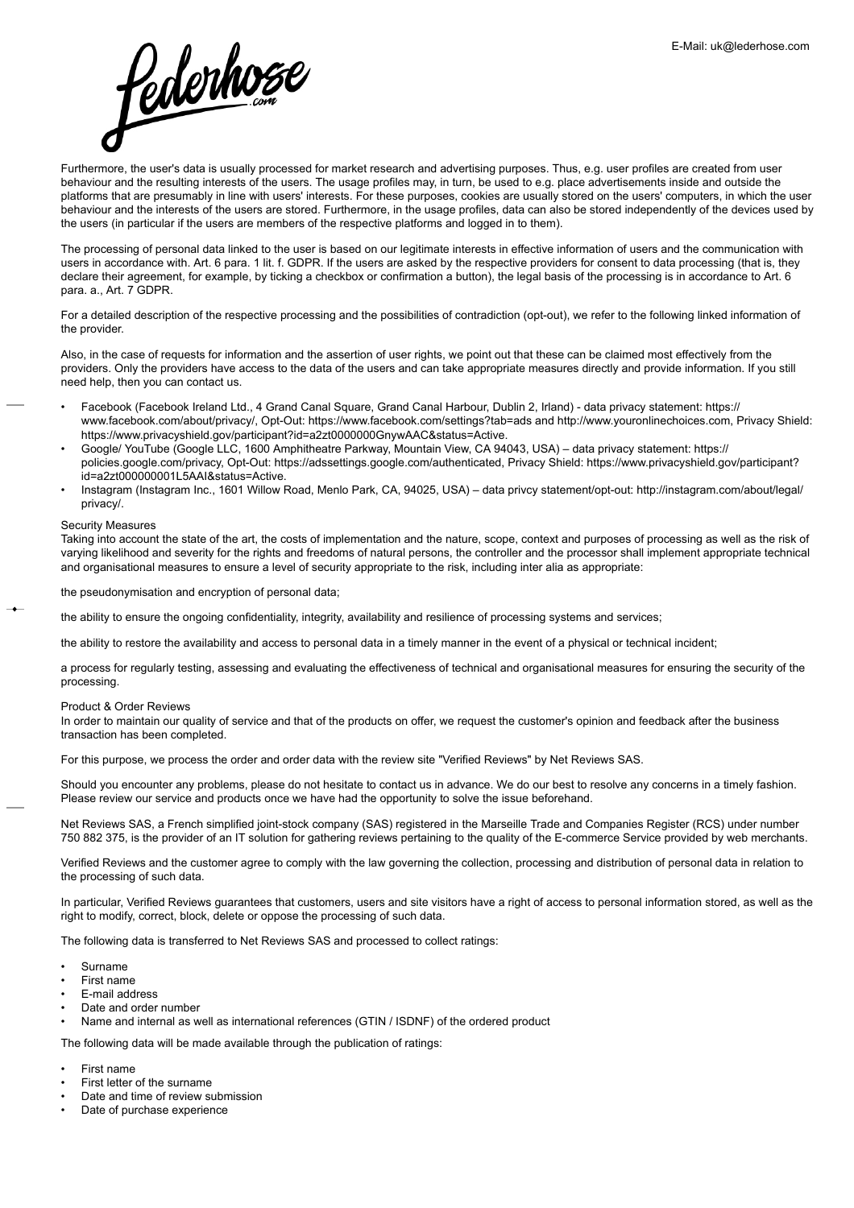

Furthermore, the user's data is usually processed for market research and advertising purposes. Thus, e.g. user profiles are created from user behaviour and the resulting interests of the users. The usage profiles may, in turn, be used to e.g. place advertisements inside and outside the platforms that are presumably in line with users' interests. For these purposes, cookies are usually stored on the users' computers, in which the user behaviour and the interests of the users are stored. Furthermore, in the usage profiles, data can also be stored independently of the devices used by the users (in particular if the users are members of the respective platforms and logged in to them).

The processing of personal data linked to the user is based on our legitimate interests in effective information of users and the communication with users in accordance with. Art. 6 para. 1 lit. f. GDPR. If the users are asked by the respective providers for consent to data processing (that is, they declare their agreement, for example, by ticking a checkbox or confirmation a button), the legal basis of the processing is in accordance to Art. 6 para. a., Art. 7 GDPR.

For a detailed description of the respective processing and the possibilities of contradiction (opt-out), we refer to the following linked information of the provider.

Also, in the case of requests for information and the assertion of user rights, we point out that these can be claimed most effectively from the providers. Only the providers have access to the data of the users and can take appropriate measures directly and provide information. If you still need help, then you can contact us.

- Facebook (Facebook Ireland Ltd., 4 Grand Canal Square, Grand Canal Harbour, Dublin 2, Irland) data privacy statement: https:// www.facebook.com/about/privacy/, Opt-Out: https://www.facebook.com/settings?tab=ads and http://www.youronlinechoices.com, Privacy Shield: https://www.privacyshield.gov/participant?id=a2zt0000000GnywAAC&status=Active.
- Google/ YouTube (Google LLC, 1600 Amphitheatre Parkway, Mountain View, CA 94043, USA) data privacy statement: https:// policies.google.com/privacy, Opt-Out: https://adssettings.google.com/authenticated, Privacy Shield: https://www.privacyshield.gov/participant? id=a2zt000000001L5AAI&status=Active.
- Instagram (Instagram Inc., 1601 Willow Road, Menlo Park, CA, 94025, USA) data privcy statement/opt-out: http://instagram.com/about/legal/ privacy/.

# Security Measures

Taking into account the state of the art, the costs of implementation and the nature, scope, context and purposes of processing as well as the risk of varying likelihood and severity for the rights and freedoms of natural persons, the controller and the processor shall implement appropriate technical and organisational measures to ensure a level of security appropriate to the risk, including inter alia as appropriate:

the pseudonymisation and encryption of personal data;

the ability to ensure the ongoing confidentiality, integrity, availability and resilience of processing systems and services;

the ability to restore the availability and access to personal data in a timely manner in the event of a physical or technical incident;

a process for regularly testing, assessing and evaluating the effectiveness of technical and organisational measures for ensuring the security of the processing.

# Product & Order Reviews

In order to maintain our quality of service and that of the products on offer, we request the customer's opinion and feedback after the business transaction has been completed.

For this purpose, we process the order and order data with the review site "Verified Reviews" by Net Reviews SAS.

Should you encounter any problems, please do not hesitate to contact us in advance. We do our best to resolve any concerns in a timely fashion. Please review our service and products once we have had the opportunity to solve the issue beforehand.

Net Reviews SAS, a French simplified joint-stock company (SAS) registered in the Marseille Trade and Companies Register (RCS) under number 750 882 375, is the provider of an IT solution for gathering reviews pertaining to the quality of the E-commerce Service provided by web merchants.

Verified Reviews and the customer agree to comply with the law governing the collection, processing and distribution of personal data in relation to the processing of such data.

In particular, Verified Reviews guarantees that customers, users and site visitors have a right of access to personal information stored, as well as the right to modify, correct, block, delete or oppose the processing of such data.

The following data is transferred to Net Reviews SAS and processed to collect ratings:

- Surname
- First name
- E-mail address
- Date and order number
- Name and internal as well as international references (GTIN / ISDNF) of the ordered product

The following data will be made available through the publication of ratings:

- First name
- First letter of the surname
- Date and time of review submission
- Date of purchase experience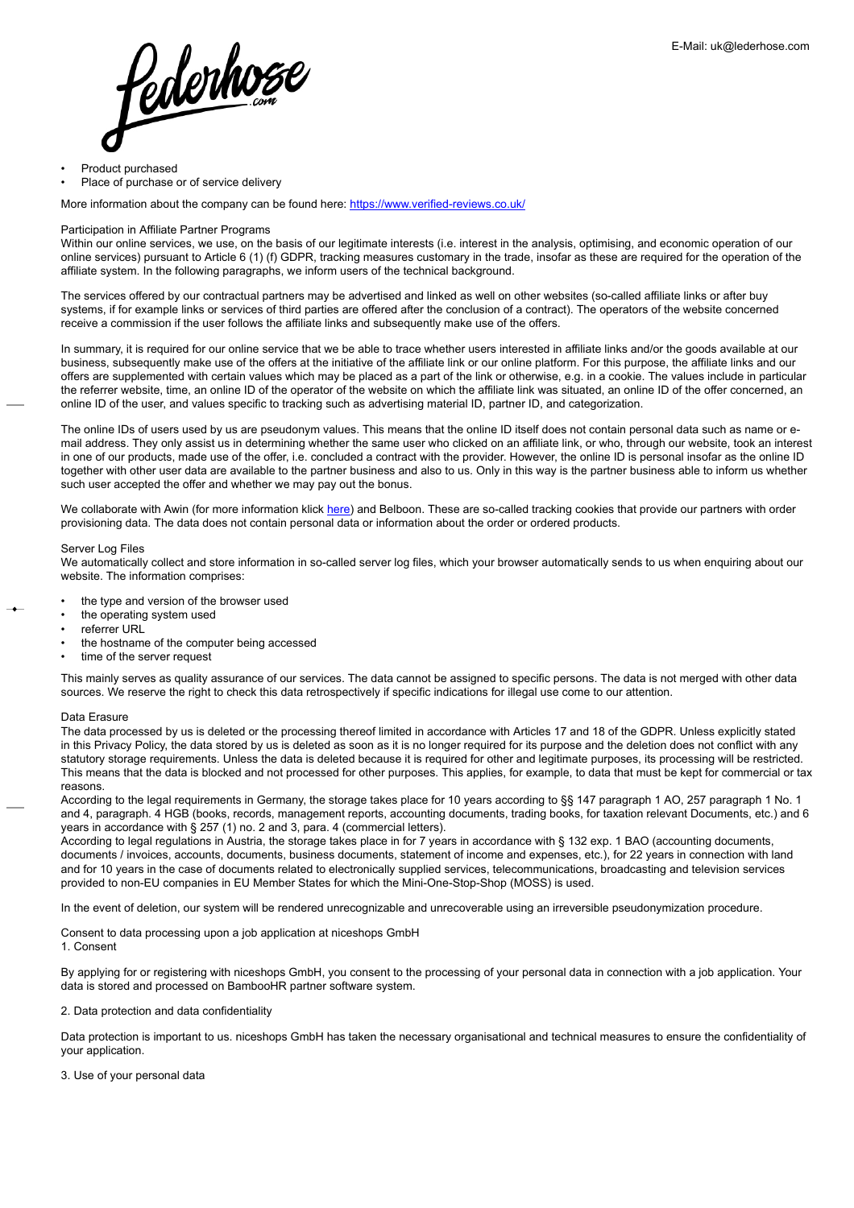

- Product purchased
- Place of purchase or of service delivery

More information about the company can be found here: <https://www.verified-reviews.co.uk/>

## Participation in Affiliate Partner Programs

Within our online services, we use, on the basis of our legitimate interests (i.e. interest in the analysis, optimising, and economic operation of our online services) pursuant to Article 6 (1) (f) GDPR, tracking measures customary in the trade, insofar as these are required for the operation of the affiliate system. In the following paragraphs, we inform users of the technical background.

The services offered by our contractual partners may be advertised and linked as well on other websites (so-called affiliate links or after buy systems, if for example links or services of third parties are offered after the conclusion of a contract). The operators of the website concerned receive a commission if the user follows the affiliate links and subsequently make use of the offers.

In summary, it is required for our online service that we be able to trace whether users interested in affiliate links and/or the goods available at our business, subsequently make use of the offers at the initiative of the affiliate link or our online platform. For this purpose, the affiliate links and our offers are supplemented with certain values which may be placed as a part of the link or otherwise, e.g. in a cookie. The values include in particular the referrer website, time, an online ID of the operator of the website on which the affiliate link was situated, an online ID of the offer concerned, an online ID of the user, and values specific to tracking such as advertising material ID, partner ID, and categorization.

The online IDs of users used by us are pseudonym values. This means that the online ID itself does not contain personal data such as name or email address. They only assist us in determining whether the same user who clicked on an affiliate link, or who, through our website, took an interest in one of our products, made use of the offer, i.e. concluded a contract with the provider. However, the online ID is personal insofar as the online ID together with other user data are available to the partner business and also to us. Only in this way is the partner business able to inform us whether such user accepted the offer and whether we may pay out the bonus.

We collaborate with Awin (for more information klick [here\)](#page-0-0) and Belboon. These are so-called tracking cookies that provide our partners with order provisioning data. The data does not contain personal data or information about the order or ordered products.

## Server Log Files

We automatically collect and store information in so-called server log files, which your browser automatically sends to us when enquiring about our website. The information comprises:

- the type and version of the browser used
- the operating system used
- referrer URL
- the hostname of the computer being accessed
- time of the server request

This mainly serves as quality assurance of our services. The data cannot be assigned to specific persons. The data is not merged with other data sources. We reserve the right to check this data retrospectively if specific indications for illegal use come to our attention.

## Data Erasure

The data processed by us is deleted or the processing thereof limited in accordance with Articles 17 and 18 of the GDPR. Unless explicitly stated in this Privacy Policy, the data stored by us is deleted as soon as it is no longer required for its purpose and the deletion does not conflict with any statutory storage requirements. Unless the data is deleted because it is required for other and legitimate purposes, its processing will be restricted. This means that the data is blocked and not processed for other purposes. This applies, for example, to data that must be kept for commercial or tax reasons.

According to the legal requirements in Germany, the storage takes place for 10 years according to §§ 147 paragraph 1 AO, 257 paragraph 1 No. 1 and 4, paragraph. 4 HGB (books, records, management reports, accounting documents, trading books, for taxation relevant Documents, etc.) and 6 years in accordance with § 257 (1) no. 2 and 3, para. 4 (commercial letters).

According to legal regulations in Austria, the storage takes place in for 7 years in accordance with § 132 exp. 1 BAO (accounting documents, documents / invoices, accounts, documents, business documents, statement of income and expenses, etc.), for 22 years in connection with land and for 10 years in the case of documents related to electronically supplied services, telecommunications, broadcasting and television services provided to non-EU companies in EU Member States for which the Mini-One-Stop-Shop (MOSS) is used.

In the event of deletion, our system will be rendered unrecognizable and unrecoverable using an irreversible pseudonymization procedure.

Consent to data processing upon a job application at niceshops GmbH 1. Consent

By applying for or registering with niceshops GmbH, you consent to the processing of your personal data in connection with a job application. Your data is stored and processed on BambooHR partner software system.

2. Data protection and data confidentiality

Data protection is important to us. niceshops GmbH has taken the necessary organisational and technical measures to ensure the confidentiality of your application.

3. Use of your personal data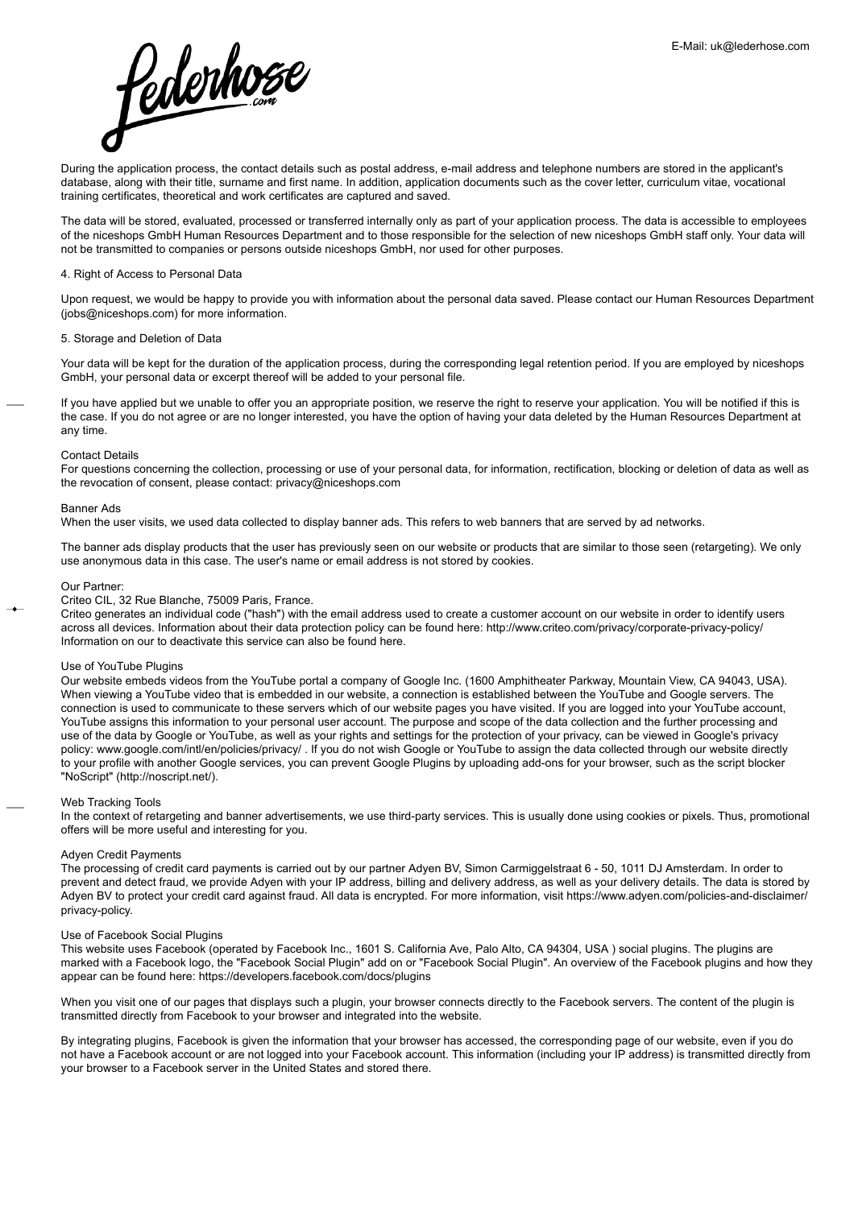

During the application process, the contact details such as postal address, e-mail address and telephone numbers are stored in the applicant's database, along with their title, surname and first name. In addition, application documents such as the cover letter, curriculum vitae, vocational training certificates, theoretical and work certificates are captured and saved.

The data will be stored, evaluated, processed or transferred internally only as part of your application process. The data is accessible to employees of the niceshops GmbH Human Resources Department and to those responsible for the selection of new niceshops GmbH staff only. Your data will not be transmitted to companies or persons outside niceshops GmbH, nor used for other purposes.

# 4. Right of Access to Personal Data

Upon request, we would be happy to provide you with information about the personal data saved. Please contact our Human Resources Department (jobs@niceshops.com) for more information.

# 5. Storage and Deletion of Data

Your data will be kept for the duration of the application process, during the corresponding legal retention period. If you are employed by niceshops GmbH, your personal data or excerpt thereof will be added to your personal file.

If you have applied but we unable to offer you an appropriate position, we reserve the right to reserve your application. You will be notified if this is the case. If you do not agree or are no longer interested, you have the option of having your data deleted by the Human Resources Department at any time.

#### Contact Details

For questions concerning the collection, processing or use of your personal data, for information, rectification, blocking or deletion of data as well as the revocation of consent, please contact: privacy@niceshops.com

# Banner Ads

When the user visits, we used data collected to display banner ads. This refers to web banners that are served by ad networks.

The banner ads display products that the user has previously seen on our website or products that are similar to those seen (retargeting). We only use anonymous data in this case. The user's name or email address is not stored by cookies.

#### Our Partner:

Criteo CIL, 32 Rue Blanche, 75009 Paris, France.

Criteo generates an individual code ("hash") with the email address used to create a customer account on our website in order to identify users across all devices. Information about their data protection policy can be found here: http://www.criteo.com/privacy/corporate-privacy-policy/ Information on our to deactivate this service can also be found here.

# Use of YouTube Plugins

Our website embeds videos from the YouTube portal a company of Google Inc. (1600 Amphitheater Parkway, Mountain View, CA 94043, USA). When viewing a YouTube video that is embedded in our website, a connection is established between the YouTube and Google servers. The connection is used to communicate to these servers which of our website pages you have visited. If you are logged into your YouTube account, YouTube assigns this information to your personal user account. The purpose and scope of the data collection and the further processing and use of the data by Google or YouTube, as well as your rights and settings for the protection of your privacy, can be viewed in Google's privacy policy: www.google.com/intl/en/policies/privacy/ . If you do not wish Google or YouTube to assign the data collected through our website directly to your profile with another Google services, you can prevent Google Plugins by uploading add-ons for your browser, such as the script blocker "NoScript" (http://noscript.net/).

#### Web Tracking Tools

In the context of retargeting and banner advertisements, we use third-party services. This is usually done using cookies or pixels. Thus, promotional offers will be more useful and interesting for you.

# Adyen Credit Payments

The processing of credit card payments is carried out by our partner Adyen BV, Simon Carmiggelstraat 6 - 50, 1011 DJ Amsterdam. In order to prevent and detect fraud, we provide Adyen with your IP address, billing and delivery address, as well as your delivery details. The data is stored by Adyen BV to protect your credit card against fraud. All data is encrypted. For more information, visit https://www.adyen.com/policies-and-disclaimer/ privacy-policy.

# Use of Facebook Social Plugins

This website uses Facebook (operated by Facebook Inc., 1601 S. California Ave, Palo Alto, CA 94304, USA ) social plugins. The plugins are marked with a Facebook logo, the "Facebook Social Plugin" add on or "Facebook Social Plugin". An overview of the Facebook plugins and how they appear can be found here: https://developers.facebook.com/docs/plugins

When you visit one of our pages that displays such a plugin, your browser connects directly to the Facebook servers. The content of the plugin is transmitted directly from Facebook to your browser and integrated into the website.

By integrating plugins, Facebook is given the information that your browser has accessed, the corresponding page of our website, even if you do not have a Facebook account or are not logged into your Facebook account. This information (including your IP address) is transmitted directly from your browser to a Facebook server in the United States and stored there.